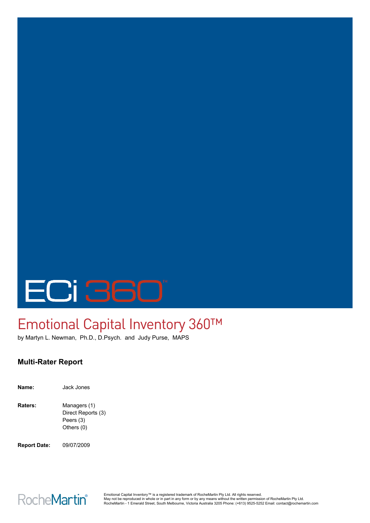# ECI 360

# Emotional Capital Inventory 360™

by Martyn L. Newman, Ph.D., D.Psych. and Judy Purse, MAPS

# **Multi-Rater Report**

| Name:   | Jack Jones                                                    |
|---------|---------------------------------------------------------------|
| Raters: | Managers (1)<br>Direct Reports (3)<br>Peers (3)<br>Others (0) |

**Report Date:** 09/07/2009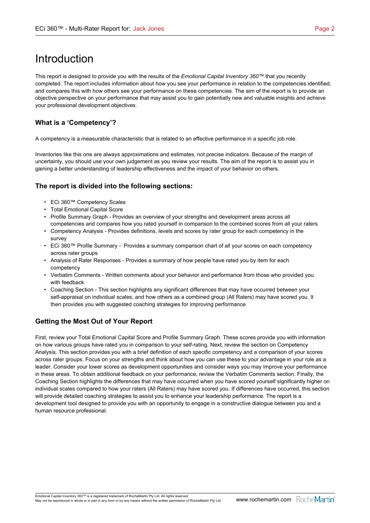# Introduction

This report is designed to provide you with the results of the *Emotional Capital Inventory 360™* that you recently completed. The report includes information about how you see your performance in relation to the competencies identified, and compares this with how others see your performance on these competencies. The aim of the report is to provide an objective perspective on your performance that may assist you to gain potentially new and valuable insights and achieve your professional development objectives.

### **What is a 'Competency'?**

A competency is a measurable characteristic that is related to an effective performance in a specific job role.

Inventories like this one are always approximations and estimates, not precise indicators. Because of the margin of uncertainty, you should use your own judgement as you review your results. The aim of the report is to assist you in gaining a better understanding of leadership effectiveness and the impact of your behavior on others.

### **The report is divided into the following sections:**

- ECi 360™ Competency Scales
- Total Emotional Capital Score
- Profile Summary Graph Provides an overview of your strengths and development areas across all competencies and compares how you rated yourself in comparison to the combined scores from all your raters
- Competency Analysis Provides definitions, levels and scores by rater group for each competency in the survey
- ECi 360™ Profile Summary Provides a summary comparison chart of all your scores on each competency across rater groups
- Analysis of Rater Responses Provides a summary of how people have rated you by item for each competency
- Verbatim Comments Written comments about your behavior and performance from those who provided you with feedback
- Coaching Section This section highlights any significant differences that may have occurred between your self-appraisal on individual scales, and how others as a combined group (All Raters) may have scored you. It then provides you with suggested coaching strategies for improving performance

## **Getting the Most Out of Your Report**

First, review your Total Emotional Capital Score and Profile Summary Graph. These scores provide you with information on how various groups have rated you in comparison to your self-rating. Next, review the section on Competency Analysis. This section provides you with a brief definition of each specific competency and a comparison of your scores across rater groups. Focus on your strengths and think about how you can use these to your advantage in your role as a leader. Consider your lower scores as development opportunities and consider ways you may improve your performance in these areas. To obtain additional feedback on your performance, review the Verbatim Comments section. Finally, the Coaching Section highlights the differences that may have occurred when you have scored yourself significantly higher on individual scales compared to how your raters (All Raters) may have scored you. If differences have occurred, this section will provide detailed coaching strategies to assist you to enhance your leadership performance. The report is a development tool designed to provide you with an opportunity to engage in a constructive dialogue between you and a human resource professional.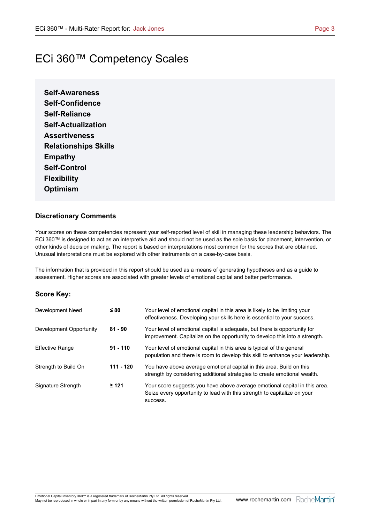# ECi 360™ Competency Scales

**Self-Awareness Self-Confidence Self-Reliance Self-Actualization Assertiveness Relationships Skills Empathy Self-Control Flexibility Optimism**

### **Discretionary Comments**

Your scores on these competencies represent your self-reported level of skill in managing these leadership behaviors. The ECi 360™ is designed to act as an interpretive aid and should not be used as the sole basis for placement, intervention, or other kinds of decision making. The report is based on interpretations most common for the scores that are obtained. Unusual interpretations must be explored with other instruments on a case-by-case basis.

The information that is provided in this report should be used as a means of generating hypotheses and as a guide to assessment. Higher scores are associated with greater levels of emotional capital and better performance.

### **Score Key:**

| Development Need        | $\leq 80$   | Your level of emotional capital in this area is likely to be limiting your<br>effectiveness. Developing your skills here is essential to your success.             |
|-------------------------|-------------|--------------------------------------------------------------------------------------------------------------------------------------------------------------------|
| Development Opportunity | $81 - 90$   | Your level of emotional capital is adequate, but there is opportunity for<br>improvement. Capitalize on the opportunity to develop this into a strength.           |
| <b>Effective Range</b>  | $91 - 110$  | Your level of emotional capital in this area is typical of the general<br>population and there is room to develop this skill to enhance your leadership.           |
| Strength to Build On    | $111 - 120$ | You have above average emotional capital in this area. Build on this<br>strength by considering additional strategies to create emotional wealth.                  |
| Signature Strength      | $\geq 121$  | Your score suggests you have above average emotional capital in this area.<br>Seize every opportunity to lead with this strength to capitalize on your<br>success. |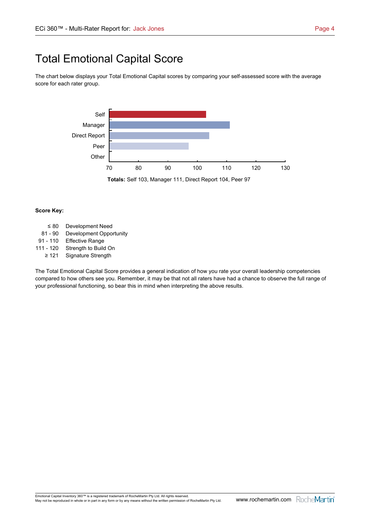# Total Emotional Capital Score

The chart below displays your Total Emotional Capital scores by comparing your self-assessed score with the average score for each rater group.



#### **Score Key:**

 $\leq$  80 Development Need 81 - 90 Development Opportunity 91 - 110 Effective Range 111 - 120 Strength to Build On  $\geq 121$  Signature Strength

The Total Emotional Capital Score provides a general indication of how you rate your overall leadership competencies compared to how others see you. Remember, it may be that not all raters have had a chance to observe the full range of your professional functioning, so bear this in mind when interpreting the above results.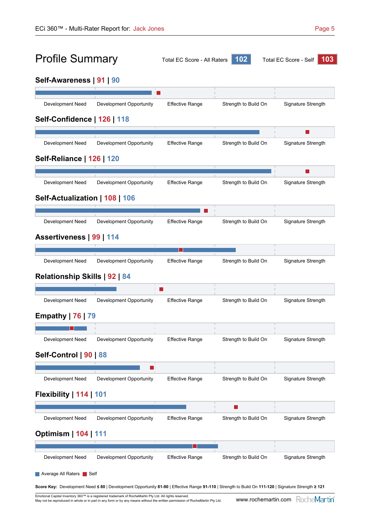# Profile Summary Total EC Score - All Raters **<sup>102</sup>** Total EC Score - Self **<sup>103</sup>**



# **Self-Awareness | 91 | 90**

| <b>Development Need</b>          |                         |                        |                      |                    |
|----------------------------------|-------------------------|------------------------|----------------------|--------------------|
|                                  | Development Opportunity | <b>Effective Range</b> | Strength to Build On | Signature Strength |
| Self-Confidence   126   118      |                         |                        |                      |                    |
|                                  |                         |                        |                      |                    |
| Development Need                 | Development Opportunity | <b>Effective Range</b> | Strength to Build On | Signature Strength |
| <b>Self-Reliance   126   120</b> |                         |                        |                      |                    |
| Development Need                 | Development Opportunity | <b>Effective Range</b> | Strength to Build On | Signature Strength |
| Self-Actualization   108   106   |                         |                        |                      |                    |
|                                  |                         |                        |                      |                    |
| Development Need                 | Development Opportunity | <b>Effective Range</b> | Strength to Build On | Signature Strength |
| Assertiveness   99   114         |                         |                        |                      |                    |
|                                  |                         |                        |                      |                    |
| Development Need                 | Development Opportunity | <b>Effective Range</b> | Strength to Build On | Signature Strength |
| Relationship Skills   92   84    |                         |                        |                      |                    |
|                                  |                         |                        |                      |                    |
| Development Need                 | Development Opportunity | <b>Effective Range</b> | Strength to Build On | Signature Strength |
| <b>Empathy</b>   76   79         |                         |                        |                      |                    |
|                                  |                         |                        |                      |                    |
| <b>Development Need</b>          | Development Opportunity | <b>Effective Range</b> | Strength to Build On | Signature Strength |
| Self-Control   90   88           |                         |                        |                      |                    |
|                                  |                         |                        |                      |                    |
|                                  |                         |                        |                      |                    |
| Development Need                 | Development Opportunity | <b>Effective Range</b> | Strength to Build On |                    |
| Flexibility   114   101          |                         |                        |                      |                    |
|                                  |                         |                        |                      | Signature Strength |
| Development Need                 | Development Opportunity | <b>Effective Range</b> | Strength to Build On |                    |
| <b>Optimism   104   111</b>      |                         |                        |                      |                    |
|                                  |                         |                        |                      | Signature Strength |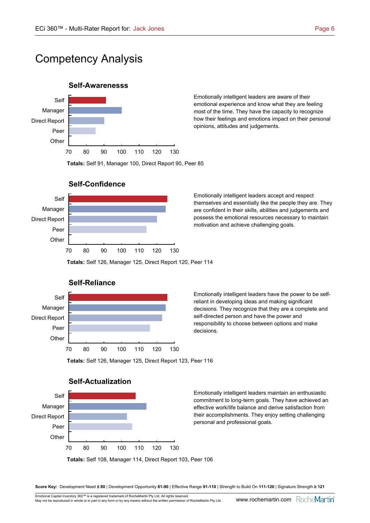# Competency Analysis

### **Self-Awarenesss**



Emotionally intelligent leaders are aware of their emotional experience and know what they are feeling most of the time. They have the capacity to recognize how their feelings and emotions impact on their personal opinions, attitudes and judgements.



### **Self-Confidence**

Emotionally intelligent leaders accept and respect themselves and essentially like the people they are. They are confident in their skills, abilities and judgements and possess the emotional resources necessary to maintain motivation and achieve challenging goals.



70 80 90 100 110 120 130

Emotionally intelligent leaders have the power to be selfreliant in developing ideas and making significant decisions. They recognize that they are a complete and self-directed person and have the power and responsibility to choose between options and make decisions.

**Totals:** Self 126, Manager 125, Direct Report 123, Peer 116

**Totals:** Self 126, Manager 125, Direct Report 120, Peer 114



### **Self-Actualization**

**Other** 

Emotionally intelligent leaders maintain an enthusiastic commitment to long-term goals. They have achieved an effective work/life balance and derive satisfaction from their accomplishments. They enjoy setting challenging personal and professional goals.

**Totals:** Self 108, Manager 114, Direct Report 103, Peer 106

**Score Key:** Development Need **¿ 80** | Development Opportunity **81-90** | Effective Range **91-110** | Strength to Build On **111-120** | Signature Strength **† 121**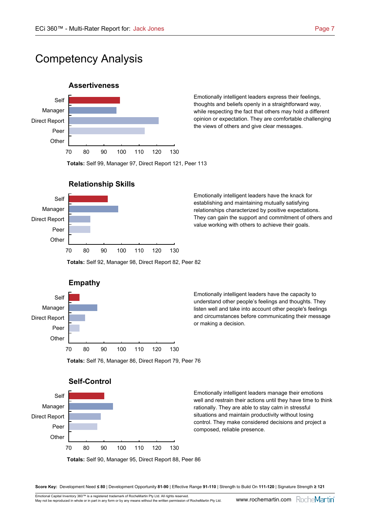# Competency Analysis



Emotionally intelligent leaders express their feelings, thoughts and beliefs openly in a straightforward way, while respecting the fact that others may hold a different opinion or expectation. They are comfortable challenging the views of others and give clear messages.



**Relationship Skills**

Emotionally intelligent leaders have the knack for establishing and maintaining mutually satisfying relationships characterized by positive expectations. They can gain the support and commitment of others and value working with others to achieve their goals.



Emotionally intelligent leaders have the capacity to understand other people's feelings and thoughts. They listen well and take into account other people's feelings and circumstances before communicating their message or making a decision.

**Totals:** Self 76, Manager 86, Direct Report 79, Peer 76

**Totals:** Self 92, Manager 98, Direct Report 82, Peer 82



Emotionally intelligent leaders manage their emotions well and restrain their actions until they have time to think rationally. They are able to stay calm in stressful situations and maintain productivity without losing control. They make considered decisions and project a composed, reliable presence.

**Score Key:** Development Need **¿ 80** | Development Opportunity **81-90** | Effective Range **91-110** | Strength to Build On **111-120** | Signature Strength **† 121**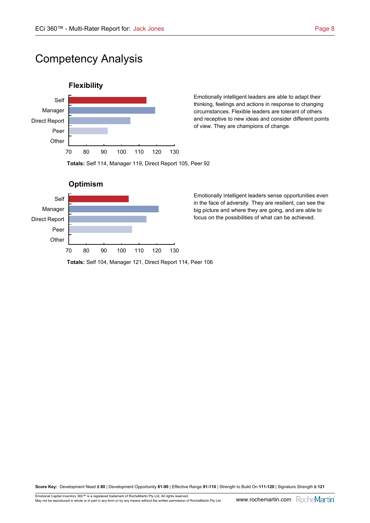# Competency Analysis



Emotionally intelligent leaders are able to adapt their thinking, feelings and actions in response to changing circumstances. Flexible leaders are tolerant of others and receptive to new ideas and consider different points of view. They are champions of change.





Emotionally intelligent leaders sense opportunities even in the face of adversity. They are resilient, can see the big picture and where they are going, and are able to focus on the possibilities of what can be achieved.

**Totals:** Self 104, Manager 121, Direct Report 114, Peer 106

**Score Key:** Development Need **¿ 80** | Development Opportunity **81-90** | Effective Range **91-110** | Strength to Build On **111-120** | Signature Strength **† 121**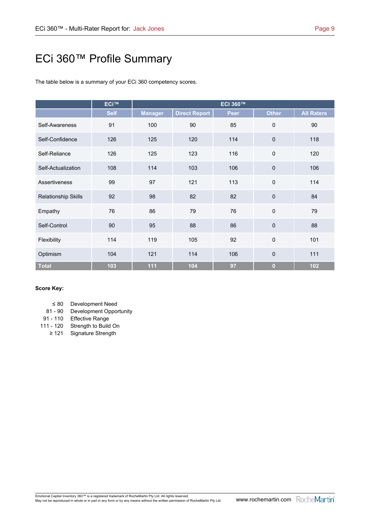# ECi 360™ Profile Summary

The table below is a summary of your ECi 360 competency scores.

|                            | <b>ECi™</b> |                | <b>ECI 360™</b>      |      |                |                   |  |  |  |  |
|----------------------------|-------------|----------------|----------------------|------|----------------|-------------------|--|--|--|--|
|                            | <b>Self</b> | <b>Manager</b> | <b>Direct Report</b> | Peer | <b>Other</b>   | <b>All Raters</b> |  |  |  |  |
| Self-Awareness             | 91          | 100            | 85<br>90             |      | 0              | 90                |  |  |  |  |
| Self-Confidence            | 126         | 125            | 120                  | 114  | $\pmb{0}$      | 118               |  |  |  |  |
| Self-Reliance              | 126         | 125            | 123                  | 116  | 0              | 120               |  |  |  |  |
| Self-Actualization         | 108         | 114            | 103                  | 106  | $\pmb{0}$      | 106               |  |  |  |  |
| Assertiveness              | 99          | 97             | 121                  | 113  | $\mathsf 0$    | 114               |  |  |  |  |
| <b>Relationship Skills</b> | 92          | 98             | 82                   | 82   | $\mathbf 0$    | 84                |  |  |  |  |
| Empathy                    | 76          | 86             | 79                   | 76   | $\mathbf 0$    | 79                |  |  |  |  |
| Self-Control               | 90          | 95             | 88                   | 86   | $\mathbf 0$    | 88                |  |  |  |  |
| Flexibility                | 114         | 119            | 105                  | 92   | $\mathsf 0$    | 101               |  |  |  |  |
| Optimism                   | 104         | 121            | 114                  | 106  | $\pmb{0}$      | 111               |  |  |  |  |
| <b>Total</b>               | 103         | 111            | 104                  | 97   | $\overline{0}$ | 102               |  |  |  |  |

### **Score Key:**

| $\leq 80$ |  | Development Need |  |
|-----------|--|------------------|--|
|           |  |                  |  |

- 81 90 Development Opportunity
- 91 110 Effective Range
- 111 120 Strength to Build On  $\geq 121$  Signature Strength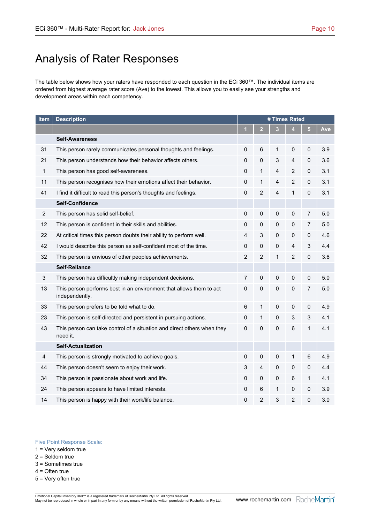# Analysis of Rater Responses

The table below shows how your raters have responded to each question in the ECi 360™. The individual items are ordered from highest average rater score (Ave) to the lowest. This allows you to easily see your strengths and development areas within each competency.

| Item           | <b>Description</b>                                                                    | # Times Rated  |                |                         |                |                |     |
|----------------|---------------------------------------------------------------------------------------|----------------|----------------|-------------------------|----------------|----------------|-----|
|                |                                                                                       | 1              | $\overline{2}$ | 3                       | 4              | 5              | Ave |
|                | <b>Self-Awareness</b>                                                                 |                |                |                         |                |                |     |
| 31             | This person rarely communicates personal thoughts and feelings.                       | 0              | 6              | 1                       | 0              | 0              | 3.9 |
| 21             | This person understands how their behavior affects others.                            | 0              | $\mathbf 0$    | 3                       | 4              | 0              | 3.6 |
| $\mathbf{1}$   | This person has good self-awareness.                                                  | 0              | $\mathbf{1}$   | $\overline{4}$          | $\overline{c}$ | 0              | 3.1 |
| 11             | This person recognises how their emotions affect their behavior.                      | 0              | 1              | 4                       | 2              | 0              | 3.1 |
| 41             | I find it difficult to read this person's thoughts and feelings.                      | $\mathbf 0$    | $\overline{2}$ | $\overline{\mathbf{4}}$ | $\mathbf{1}$   | $\pmb{0}$      | 3.1 |
|                | <b>Self-Confidence</b>                                                                |                |                |                         |                |                |     |
| $\overline{2}$ | This person has solid self-belief.                                                    | 0              | $\pmb{0}$      | $\pmb{0}$               | 0              | 7              | 5.0 |
| 12             | This person is confident in their skills and abilities.                               | $\mathbf 0$    | $\mathbf 0$    | $\pmb{0}$               | 0              | $\overline{7}$ | 5.0 |
| 22             | At critical times this person doubts their ability to perform well.                   | 4              | 3              | 0                       | 0              | 0              | 4.6 |
| 42             | I would describe this person as self-confident most of the time.                      | 0              | 0              | 0                       | 4              | 3              | 4.4 |
| 32             | This person is envious of other peoples achievements.                                 | $\overline{2}$ | $\overline{2}$ | $\mathbf{1}$            | $\overline{2}$ | $\pmb{0}$      | 3.6 |
|                | <b>Self-Reliance</b>                                                                  |                |                |                         |                |                |     |
| 3              | This person has difficultly making independent decisions.                             | $\overline{7}$ | $\pmb{0}$      | $\pmb{0}$               | 0              | $\pmb{0}$      | 5.0 |
| 13             | This person performs best in an environment that allows them to act<br>independently. | $\mathbf 0$    | $\pmb{0}$      | 0                       | 0              | 7              | 5.0 |
| 33             | This person prefers to be told what to do.                                            | $\,6$          | 1              | 0                       | 0              | 0              | 4.9 |
| 23             | This person is self-directed and persistent in pursuing actions.                      | 0              | $\mathbf{1}$   | $\pmb{0}$               | 3              | 3              | 4.1 |
| 43             | This person can take control of a situation and direct others when they<br>need it.   | 0              | $\pmb{0}$      | $\pmb{0}$               | 6              | $\mathbf{1}$   | 4.1 |
|                | <b>Self-Actualization</b>                                                             |                |                |                         |                |                |     |
| 4              | This person is strongly motivated to achieve goals.                                   | $\mathbf 0$    | $\mathbf 0$    | $\mathsf 0$             | $\mathbf{1}$   | 6              | 4.9 |
| 44             | This person doesn't seem to enjoy their work.                                         | 3              | $\overline{4}$ | $\pmb{0}$               | 0              | 0              | 4.4 |
| 34             | This person is passionate about work and life.                                        | 0              | $\mathbf 0$    | 0                       | 6              | $\mathbf{1}$   | 4.1 |
| 24             | This person appears to have limited interests.                                        | 0              | 6              | 1                       | 0              | 0              | 3.9 |
| 14             | This person is happy with their work/life balance.                                    | $\mathbf 0$    | $\overline{2}$ | 3                       | $\overline{2}$ | 0              | 3.0 |

#### Five Point Response Scale:

1 = Very seldom true

- 2 = Seldom true
- 3 = Sometimes true

4 = Often true

5 = Very often true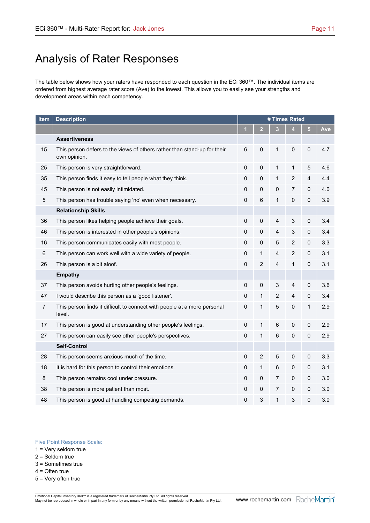# Analysis of Rater Responses

The table below shows how your raters have responded to each question in the ECi 360™. The individual items are ordered from highest average rater score (Ave) to the lowest. This allows you to easily see your strengths and development areas within each competency.

| Item           | <b>Description</b>                                                                       | # Times Rated |                |                |                |           |     |
|----------------|------------------------------------------------------------------------------------------|---------------|----------------|----------------|----------------|-----------|-----|
|                |                                                                                          | 1             | $\overline{2}$ | 3              | 4              | 5         | Ave |
|                | <b>Assertiveness</b>                                                                     |               |                |                |                |           |     |
| 15             | This person defers to the views of others rather than stand-up for their<br>own opinion. | 6             | $\mathbf 0$    | $\mathbf 1$    | 0              | 0         | 4.7 |
| 25             | This person is very straightforward.                                                     | $\mathbf 0$   | $\mathbf 0$    | $\mathbf{1}$   | $\mathbf{1}$   | 5         | 4.6 |
| 35             | This person finds it easy to tell people what they think.                                | $\mathbf 0$   | $\mathbf 0$    | $\mathbf{1}$   | $\overline{2}$ | 4         | 4.4 |
| 45             | This person is not easily intimidated.                                                   | 0             | 0              | 0              | $\overline{7}$ | 0         | 4.0 |
| 5              | This person has trouble saying 'no' even when necessary.                                 | $\mathbf 0$   | 6              | 1              | 0              | 0         | 3.9 |
|                | <b>Relationship Skills</b>                                                               |               |                |                |                |           |     |
| 36             | This person likes helping people achieve their goals.                                    | $\mathbf 0$   | $\mathbf 0$    | $\overline{4}$ | 3              | 0         | 3.4 |
| 46             | This person is interested in other people's opinions.                                    | $\mathbf 0$   | 0              | $\overline{4}$ | 3              | $\pmb{0}$ | 3.4 |
| 16             | This person communicates easily with most people.                                        | 0             | $\pmb{0}$      | 5              | $\overline{c}$ | 0         | 3.3 |
| 6              | This person can work well with a wide variety of people.                                 | 0             | 1              | 4              | 2              | 0         | 3.1 |
| 26             | This person is a bit aloof.                                                              | $\mathbf 0$   | $\overline{c}$ | $\overline{4}$ | $\mathbf{1}$   | $\pmb{0}$ | 3.1 |
|                | <b>Empathy</b>                                                                           |               |                |                |                |           |     |
| 37             | This person avoids hurting other people's feelings.                                      | $\mathbf 0$   | 0              | 3              | 4              | 0         | 3.6 |
| 47             | I would describe this person as a 'good listener'.                                       | 0             | 1              | $\overline{2}$ | 4              | $\pmb{0}$ | 3.4 |
| $\overline{7}$ | This person finds it difficult to connect with people at a more personal<br>level.       | 0             | 1              | $\mathbf 5$    | 0              | 1         | 2.9 |
| 17             | This person is good at understanding other people's feelings.                            | $\mathbf 0$   | 1              | $\,6$          | $\pmb{0}$      | $\pmb{0}$ | 2.9 |
| 27             | This person can easily see other people's perspectives.                                  | $\mathbf 0$   | 1              | $6\phantom{1}$ | 0              | 0         | 2.9 |
|                | <b>Self-Control</b>                                                                      |               |                |                |                |           |     |
| 28             | This person seems anxious much of the time.                                              | $\mathbf 0$   | $\overline{c}$ | 5              | 0              | 0         | 3.3 |
| 18             | It is hard for this person to control their emotions.                                    | $\mathbf 0$   | 1              | 6              | 0              | $\pmb{0}$ | 3.1 |
| 8              | This person remains cool under pressure.                                                 | 0             | 0              | $\overline{7}$ | 0              | 0         | 3.0 |
| 38             | This person is more patient than most.                                                   | 0             | 0              | 7              | 0              | 0         | 3.0 |
| 48             | This person is good at handling competing demands.                                       | 0             | 3              | 1              | 3              | 0         | 3.0 |

#### Five Point Response Scale:

1 = Very seldom true

- 2 = Seldom true
- 3 = Sometimes true

4 = Often true

5 = Very often true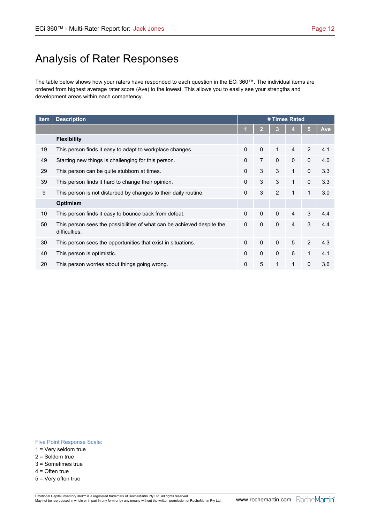# Analysis of Rater Responses

The table below shows how your raters have responded to each question in the ECi 360™. The individual items are ordered from highest average rater score (Ave) to the lowest. This allows you to easily see your strengths and development areas within each competency.

| Item | <b>Description</b>                                                                      | # Times Rated |                |              |                |                |     |
|------|-----------------------------------------------------------------------------------------|---------------|----------------|--------------|----------------|----------------|-----|
|      |                                                                                         | и             |                | 5            | <b>Ave</b>     |                |     |
|      | <b>Flexibility</b>                                                                      |               |                |              |                |                |     |
| 19   | This person finds it easy to adapt to workplace changes.                                | $\Omega$      | $\mathbf{0}$   | 1            | $\overline{4}$ | $\mathfrak{p}$ | 4.1 |
| 49   | Starting new things is challenging for this person.                                     | $\Omega$      | $\overline{7}$ | $\mathbf{0}$ | $\mathbf{0}$   | $\mathbf{0}$   | 4.0 |
| 29   | This person can be quite stubborn at times.                                             | $\Omega$      | 3              | 3            | 1              | $\Omega$       | 3.3 |
| 39   | This person finds it hard to change their opinion.                                      | 0             | 3              | 3            | 1              | $\Omega$       | 3.3 |
| 9    | This person is not disturbed by changes to their daily routine.                         | 0             | 3              | 2            | 1              | $\mathbf{1}$   | 3.0 |
|      | <b>Optimism</b>                                                                         |               |                |              |                |                |     |
| 10   | This person finds it easy to bounce back from defeat.                                   | $\Omega$      | $\mathbf{0}$   | $\mathbf{0}$ | $\overline{4}$ | 3              | 4.4 |
| 50   | This person sees the possibilities of what can be achieved despite the<br>difficulties. | 0             | $\mathbf 0$    | $\mathbf 0$  | 4              | 3              | 4.4 |
| 30   | This person sees the opportunities that exist in situations.                            | $\Omega$      | 0              | $\mathbf{0}$ | 5              | $\mathfrak{p}$ | 4.3 |
| 40   | This person is optimistic.                                                              | $\Omega$      | $\Omega$       | $\mathbf 0$  | 6              | 1              | 4.1 |
| 20   | This person worries about things going wrong.                                           | 0             | 5              | 1            | 1              | $\mathbf{0}$   | 3.6 |

#### Five Point Response Scale:

- 1 = Very seldom true
- 2 = Seldom true
- 3 = Sometimes true
- 4 = Often true
- 5 = Very often true

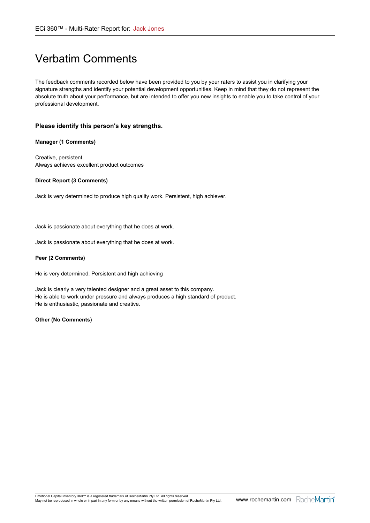# Verbatim Comments

The feedback comments recorded below have been provided to you by your raters to assist you in clarifying your signature strengths and identify your potential development opportunities. Keep in mind that they do not represent the absolute truth about your performance, but are intended to offer you new insights to enable you to take control of your professional development.

#### **Please identify this person's key strengths.**

#### **Manager (1 Comments)**

Creative, persistent. Always achieves excellent product outcomes

#### **Direct Report (3 Comments)**

Jack is very determined to produce high quality work. Persistent, high achiever.

Jack is passionate about everything that he does at work.

Jack is passionate about everything that he does at work.

#### **Peer (2 Comments)**

He is very determined. Persistent and high achieving

Jack is clearly a very talented designer and a great asset to this company. He is able to work under pressure and always produces a high standard of product. He is enthusiastic, passionate and creative.

#### **Other (No Comments)**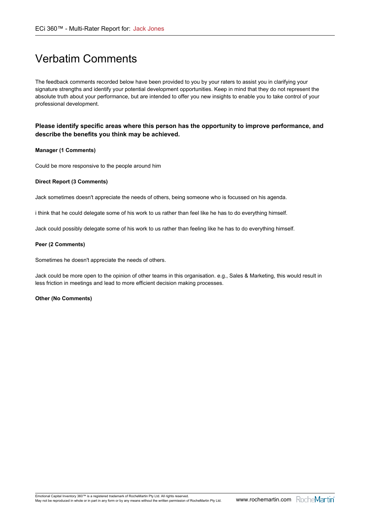# Verbatim Comments

The feedback comments recorded below have been provided to you by your raters to assist you in clarifying your signature strengths and identify your potential development opportunities. Keep in mind that they do not represent the absolute truth about your performance, but are intended to offer you new insights to enable you to take control of your professional development.

**Please identify specific areas where this person has the opportunity to improve performance, and describe the benefits you think may be achieved.**

#### **Manager (1 Comments)**

Could be more responsive to the people around him

#### **Direct Report (3 Comments)**

Jack sometimes doesn't appreciate the needs of others, being someone who is focussed on his agenda.

i think that he could delegate some of his work to us rather than feel like he has to do everything himself.

Jack could possibly delegate some of his work to us rather than feeling like he has to do everything himself.

#### **Peer (2 Comments)**

Sometimes he doesn't appreciate the needs of others.

Jack could be more open to the opinion of other teams in this organisation. e.g., Sales & Marketing, this would result in less friction in meetings and lead to more efficient decision making processes.

#### **Other (No Comments)**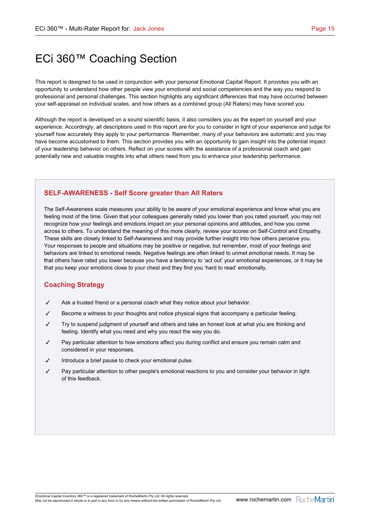This report is designed to be used in conjunction with your personal Emotional Capital Report. It provides you with an opportunity to understand how other people view your emotional and social competencies and the way you respond to professional and personal challenges. This section highlights any significant differences that may have occurred between your self-appraisal on individual scales, and how others as a combined group (All Raters) may have scored you.

Although the report is developed on a sound scientific basis, it also considers you as the expert on yourself and your experience. Accordingly, all descriptions used in this report are for you to consider in light of your experience and judge for yourself how accurately they apply to your performance. Remember, many of your behaviors are automatic and you may have become accustomed to them. This section provides you with an opportunity to gain insight into the potential impact of your leadership behavior on others. Reflect on your scores with the assistance of a professional coach and gain potentially new and valuable insights into what others need from you to enhance your leadership performance.

### **SELF-AWARENESS - Self Score greater than All Raters**

The Self-Awareness scale measures your ability to be aware of your emotional experience and know what you are feeling most of the time. Given that your colleagues generally rated you lower than you rated yourself, you may not recognize how your feelings and emotions impact on your personal opinions and attitudes, and how you come across to others. To understand the meaning of this more clearly, review your scores on Self-Control and Empathy. These skills are closely linked to Self-Awareness and may provide further insight into how others perceive you. Your responses to people and situations may be positive or negative, but remember, most of your feelings and behaviors are linked to emotional needs. Negative feelings are often linked to unmet emotional needs. It may be that others have rated you lower because you have a tendency to 'act out' your emotional experiences, or it may be that you keep your emotions close to your chest and they find you 'hard to read' emotionally.

- $\checkmark$  Ask a trusted friend or a personal coach what they notice about your behavior.
- Become a witness to your thoughts and notice physical signs that accompany a particular feeling.
- Try to suspend judgment of yourself and others and take an honest look at what you are thinking and feeling. Identify what you need and why you react the way you do.
- $\checkmark$  Pay particular attention to how emotions affect you during conflict and ensure you remain calm and considered in your responses.
- Introduce a brief pause to check your emotional pulse.
- Pay particular attention to other people's emotional reactions to you and consider your behavior in light of this feedback.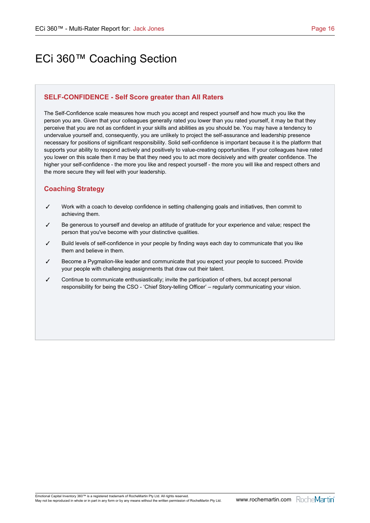### **SELF-CONFIDENCE - Self Score greater than All Raters**

The Self-Confidence scale measures how much you accept and respect yourself and how much you like the person you are. Given that your colleagues generally rated you lower than you rated yourself, it may be that they perceive that you are not as confident in your skills and abilities as you should be. You may have a tendency to undervalue yourself and, consequently, you are unlikely to project the self-assurance and leadership presence necessary for positions of significant responsibility. Solid self-confidence is important because it is the platform that supports your ability to respond actively and positively to value-creating opportunities. If your colleagues have rated you lower on this scale then it may be that they need you to act more decisively and with greater confidence. The higher your self-confidence - the more you like and respect yourself - the more you will like and respect others and the more secure they will feel with your leadership.

- $\checkmark$  Work with a coach to develop confidence in setting challenging goals and initiatives, then commit to achieving them.
- Be generous to yourself and develop an attitude of gratitude for your experience and value; respect the person that you've become with your distinctive qualities.
- 3 Build levels of self-confidence in your people by finding ways each day to communicate that you like them and believe in them.
- 3 Become a Pygmalion-like leader and communicate that you expect your people to succeed. Provide your people with challenging assignments that draw out their talent.
- $\checkmark$  Continue to communicate enthusiastically; invite the participation of others, but accept personal responsibility for being the CSO - 'Chief Story-telling Officer' – regularly communicating your vision.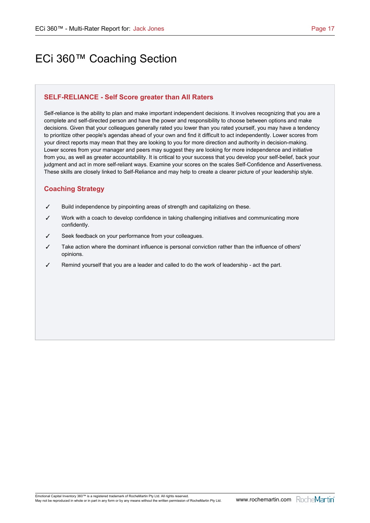### **SELF-RELIANCE - Self Score greater than All Raters**

Self-reliance is the ability to plan and make important independent decisions. It involves recognizing that you are a complete and self-directed person and have the power and responsibility to choose between options and make decisions. Given that your colleagues generally rated you lower than you rated yourself, you may have a tendency to prioritize other people's agendas ahead of your own and find it difficult to act independently. Lower scores from your direct reports may mean that they are looking to you for more direction and authority in decision-making. Lower scores from your manager and peers may suggest they are looking for more independence and initiative from you, as well as greater accountability. It is critical to your success that you develop your self-belief, back your judgment and act in more self-reliant ways. Examine your scores on the scales Self-Confidence and Assertiveness. These skills are closely linked to Self-Reliance and may help to create a clearer picture of your leadership style.

- $\checkmark$  Build independence by pinpointing areas of strength and capitalizing on these.
- Work with a coach to develop confidence in taking challenging initiatives and communicating more confidently.
- Seek feedback on your performance from your colleagues.
- Take action where the dominant influence is personal conviction rather than the influence of others' opinions.
- Remind yourself that you are a leader and called to do the work of leadership act the part.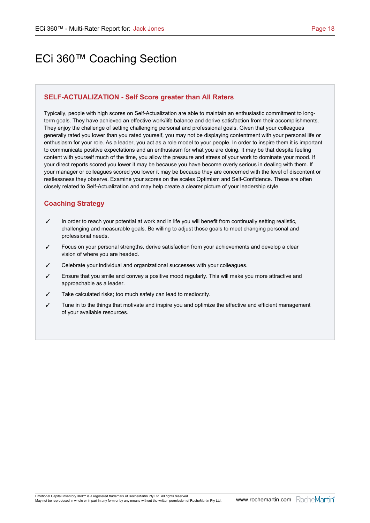### **SELF-ACTUALIZATION - Self Score greater than All Raters**

Typically, people with high scores on Self-Actualization are able to maintain an enthusiastic commitment to longterm goals. They have achieved an effective work/life balance and derive satisfaction from their accomplishments. They enjoy the challenge of setting challenging personal and professional goals. Given that your colleagues generally rated you lower than you rated yourself, you may not be displaying contentment with your personal life or enthusiasm for your role. As a leader, you act as a role model to your people. In order to inspire them it is important to communicate positive expectations and an enthusiasm for what you are doing. It may be that despite feeling content with yourself much of the time, you allow the pressure and stress of your work to dominate your mood. If your direct reports scored you lower it may be because you have become overly serious in dealing with them. If your manager or colleagues scored you lower it may be because they are concerned with the level of discontent or restlessness they observe. Examine your scores on the scales Optimism and Self-Confidence. These are often closely related to Self-Actualization and may help create a clearer picture of your leadership style.

- $\checkmark$  In order to reach your potential at work and in life you will benefit from continually setting realistic, challenging and measurable goals. Be willing to adjust those goals to meet changing personal and professional needs.
- Focus on your personal strengths, derive satisfaction from your achievements and develop a clear vision of where you are headed.
- Celebrate your individual and organizational successes with your colleagues.
- Ensure that you smile and convey a positive mood regularly. This will make you more attractive and approachable as a leader.
- Take calculated risks; too much safety can lead to mediocrity.
- Tune in to the things that motivate and inspire you and optimize the effective and efficient management of your available resources.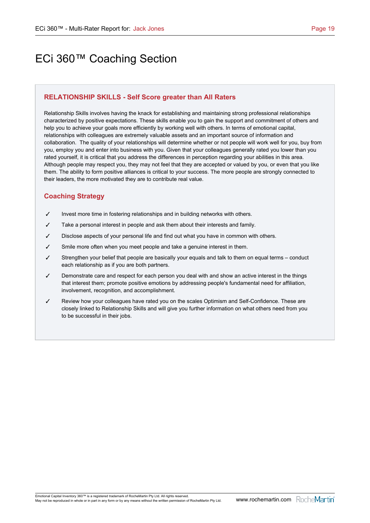### **RELATIONSHIP SKILLS - Self Score greater than All Raters**

Relationship Skills involves having the knack for establishing and maintaining strong professional relationships characterized by positive expectations. These skills enable you to gain the support and commitment of others and help you to achieve your goals more efficiently by working well with others. In terms of emotional capital, relationships with colleagues are extremely valuable assets and an important source of information and collaboration. The quality of your relationships will determine whether or not people will work well for you, buy from you, employ you and enter into business with you. Given that your colleagues generally rated you lower than you rated yourself, it is critical that you address the differences in perception regarding your abilities in this area. Although people may respect you, they may not feel that they are accepted or valued by you, or even that you like them. The ability to form positive alliances is critical to your success. The more people are strongly connected to their leaders, the more motivated they are to contribute real value.

- $J$  Invest more time in fostering relationships and in building networks with others.
- $\checkmark$  Take a personal interest in people and ask them about their interests and family.
- $<sup>7</sup>$  Disclose aspects of your personal life and find out what you have in common with others.</sup>
- $\checkmark$  Smile more often when you meet people and take a genuine interest in them.
- $\checkmark$  Strengthen your belief that people are basically your equals and talk to them on equal terms conduct each relationship as if you are both partners.
- $\checkmark$  Demonstrate care and respect for each person you deal with and show an active interest in the things that interest them; promote positive emotions by addressing people's fundamental need for affiliation, involvement, recognition, and accomplishment.
- Review how your colleagues have rated you on the scales Optimism and Self-Confidence. These are closely linked to Relationship Skills and will give you further information on what others need from you to be successful in their jobs.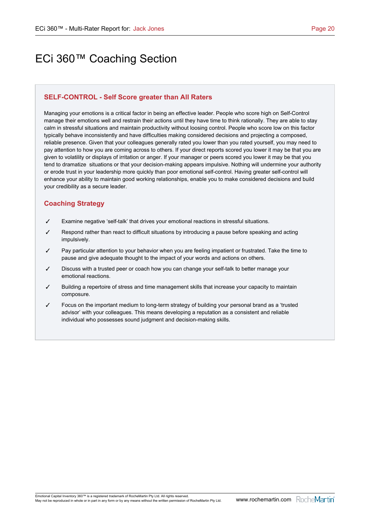### **SELF-CONTROL - Self Score greater than All Raters**

Managing your emotions is a critical factor in being an effective leader. People who score high on Self-Control manage their emotions well and restrain their actions until they have time to think rationally. They are able to stay calm in stressful situations and maintain productivity without loosing control. People who score low on this factor typically behave inconsistently and have difficulties making considered decisions and projecting a composed, reliable presence. Given that your colleagues generally rated you lower than you rated yourself, you may need to pay attention to how you are coming across to others. If your direct reports scored you lower it may be that you are given to volatility or displays of irritation or anger. If your manager or peers scored you lower it may be that you tend to dramatize situations or that your decision-making appears impulsive. Nothing will undermine your authority or erode trust in your leadership more quickly than poor emotional self-control. Having greater self-control will enhance your ability to maintain good working relationships, enable you to make considered decisions and build your credibility as a secure leader.

- Examine negative 'self-talk' that drives your emotional reactions in stressful situations.
- Respond rather than react to difficult situations by introducing a pause before speaking and acting impulsively.
- $\checkmark$  Pay particular attention to your behavior when you are feeling impatient or frustrated. Take the time to pause and give adequate thought to the impact of your words and actions on others.
- Discuss with a trusted peer or coach how you can change your self-talk to better manage your emotional reactions.
- Building a repertoire of stress and time management skills that increase your capacity to maintain composure.
- 3 Focus on the important medium to long-term strategy of building your personal brand as a 'trusted advisor' with your colleagues. This means developing a reputation as a consistent and reliable individual who possesses sound judgment and decision-making skills.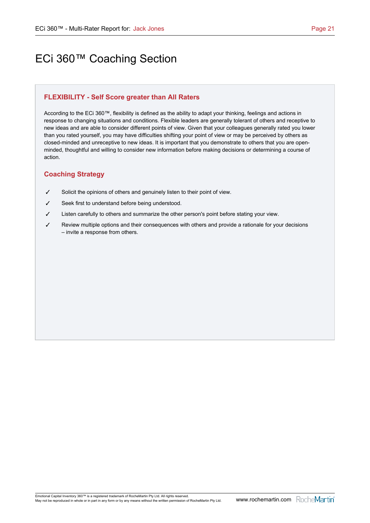### **FLEXIBILITY - Self Score greater than All Raters**

According to the ECi 360™, flexibility is defined as the ability to adapt your thinking, feelings and actions in response to changing situations and conditions. Flexible leaders are generally tolerant of others and receptive to new ideas and are able to consider different points of view. Given that your colleagues generally rated you lower than you rated yourself, you may have difficulties shifting your point of view or may be perceived by others as closed-minded and unreceptive to new ideas. It is important that you demonstrate to others that you are openminded, thoughtful and willing to consider new information before making decisions or determining a course of action.

- $\checkmark$  Solicit the opinions of others and genuinely listen to their point of view.
- $\checkmark$  Seek first to understand before being understood.
- $J$  Listen carefully to others and summarize the other person's point before stating your view.
- $\checkmark$  Review multiple options and their consequences with others and provide a rationale for your decisions – invite a response from others.